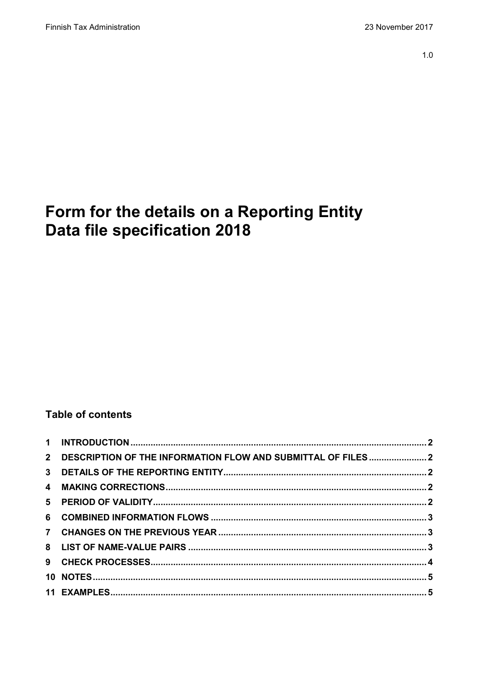# Form for the details on a Reporting Entity Data file specification 2018

## **Table of contents**

| 2 DESCRIPTION OF THE INFORMATION FLOW AND SUBMITTAL OF FILES  2 |  |
|-----------------------------------------------------------------|--|
|                                                                 |  |
|                                                                 |  |
|                                                                 |  |
|                                                                 |  |
|                                                                 |  |
|                                                                 |  |
|                                                                 |  |
|                                                                 |  |
|                                                                 |  |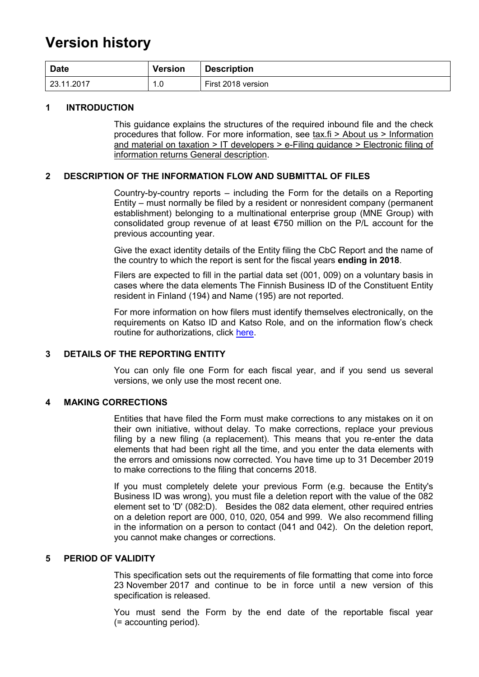## **Version history**

| <b>Date</b> | <b>Version</b> | <b>Description</b> |
|-------------|----------------|--------------------|
| 23.11.2017  | 0.1<br>и       | First 2018 version |

#### <span id="page-1-0"></span>**1 INTRODUCTION**

This guidance explains the structures of the required inbound file and the check procedures that follow. For more information, see tax.fi > About us > Information and material on taxation > IT developers > e-Filing guidance > Electronic filing of information returns General description.

#### <span id="page-1-1"></span>**2 DESCRIPTION OF THE INFORMATION FLOW AND SUBMITTAL OF FILES**

Country-by-country reports – including the Form for the details on a Reporting Entity – must normally be filed by a resident or nonresident company (permanent establishment) belonging to a multinational enterprise group (MNE Group) with consolidated group revenue of at least €750 million on the P/L account for the previous accounting year.

Give the exact identity details of the Entity filing the CbC Report and the name of the country to which the report is sent for the fiscal years **ending in 2018**.

Filers are expected to fill in the partial data set (001, 009) on a voluntary basis in cases where the data elements The Finnish Business ID of the Constituent Entity resident in Finland (194) and Name (195) are not reported.

For more information on how filers must identify themselves electronically, on the requirements on Katso ID and Katso Role, and on the information flow's check routine for authorizations, click [here.](https://www.ilmoitin.fi/webtamo/sivut/IlmoituslajiRoolit?kieli=en&tv=CBCSEL)

#### <span id="page-1-2"></span>**3 DETAILS OF THE REPORTING ENTITY**

You can only file one Form for each fiscal year, and if you send us several versions, we only use the most recent one.

#### <span id="page-1-3"></span>**4 MAKING CORRECTIONS**

Entities that have filed the Form must make corrections to any mistakes on it on their own initiative, without delay. To make corrections, replace your previous filing by a new filing (a replacement). This means that you re-enter the data elements that had been right all the time, and you enter the data elements with the errors and omissions now corrected. You have time up to 31 December 2019 to make corrections to the filing that concerns 2018.

If you must completely delete your previous Form (e.g. because the Entity's Business ID was wrong), you must file a deletion report with the value of the 082 element set to 'D' (082:D). Besides the 082 data element, other required entries on a deletion report are 000, 010, 020, 054 and 999. We also recommend filling in the information on a person to contact (041 and 042). On the deletion report, you cannot make changes or corrections.

#### <span id="page-1-4"></span>**5 PERIOD OF VALIDITY**

This specification sets out the requirements of file formatting that come into force 23 November 2017 and continue to be in force until a new version of this specification is released.

You must send the Form by the end date of the reportable fiscal year (= accounting period).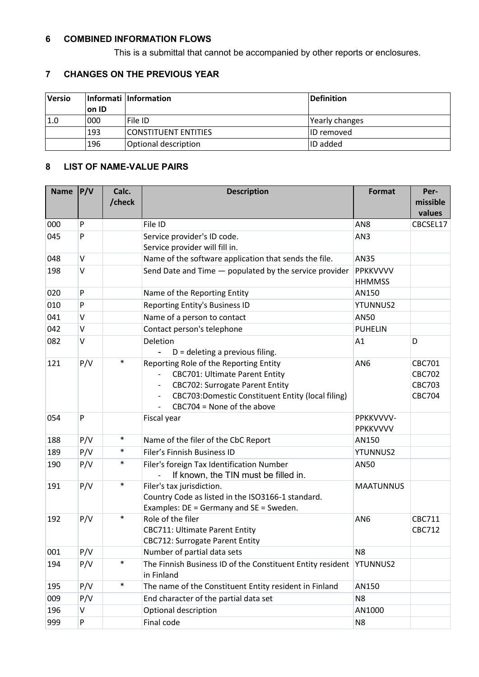#### <span id="page-2-0"></span>**6 COMBINED INFORMATION FLOWS**

This is a submittal that cannot be accompanied by other reports or enclosures.

## <span id="page-2-1"></span>**7 CHANGES ON THE PREVIOUS YEAR**

<span id="page-2-2"></span>

| <b>Versio</b> |       | Informati Information       | Definition        |
|---------------|-------|-----------------------------|-------------------|
|               | on ID |                             |                   |
| 1.0           | 000   | lFile ID                    | Yearly changes    |
|               | 193   | <b>CONSTITUENT ENTITIES</b> | <b>ID</b> removed |
|               | 196   | Optional description        | <b>ID</b> added   |

### **8 LIST OF NAME-VALUE PAIRS**

| <b>Name</b> | P/V    | Calc.  | <b>Description</b>                                                                                                                                                                                                                         | Format                    | Per-                                                      |
|-------------|--------|--------|--------------------------------------------------------------------------------------------------------------------------------------------------------------------------------------------------------------------------------------------|---------------------------|-----------------------------------------------------------|
|             |        | /check |                                                                                                                                                                                                                                            |                           | missible                                                  |
|             |        |        |                                                                                                                                                                                                                                            |                           | values                                                    |
| 000         | P      |        | File ID                                                                                                                                                                                                                                    | AN <sub>8</sub>           | CBCSEL17                                                  |
| 045         | P      |        | Service provider's ID code.                                                                                                                                                                                                                | AN3                       |                                                           |
|             |        |        | Service provider will fill in.                                                                                                                                                                                                             |                           |                                                           |
| 048         | V      |        | Name of the software application that sends the file.                                                                                                                                                                                      | AN35                      |                                                           |
| 198         | V      |        | Send Date and Time - populated by the service provider                                                                                                                                                                                     | PPKKVVVV<br><b>HHMMSS</b> |                                                           |
| 020         | P      |        | Name of the Reporting Entity                                                                                                                                                                                                               | AN150                     |                                                           |
| 010         | P      |        | Reporting Entity's Business ID                                                                                                                                                                                                             | <b>YTUNNUS2</b>           |                                                           |
| 041         | V      |        | Name of a person to contact                                                                                                                                                                                                                | <b>AN50</b>               |                                                           |
| 042         | V      |        | Contact person's telephone                                                                                                                                                                                                                 | <b>PUHELIN</b>            |                                                           |
| 082         | $\vee$ |        | Deletion<br>$D =$ deleting a previous filing.                                                                                                                                                                                              | A1                        | D                                                         |
| 121         | P/V    | $\ast$ | Reporting Role of the Reporting Entity<br><b>CBC701: Ultimate Parent Entity</b><br><b>CBC702: Surrogate Parent Entity</b><br>$\overline{\phantom{a}}$<br>CBC703:Domestic Constituent Entity (local filing)<br>$CBC704 = None of the above$ | AN <sub>6</sub>           | CBC701<br><b>CBC702</b><br><b>CBC703</b><br><b>CBC704</b> |
| 054         | P      |        | Fiscal year                                                                                                                                                                                                                                | PPKKVVVV-<br>PPKKVVVV     |                                                           |
| 188         | P/V    | $\ast$ | Name of the filer of the CbC Report                                                                                                                                                                                                        | AN150                     |                                                           |
| 189         | P/V    | $\ast$ | Filer's Finnish Business ID                                                                                                                                                                                                                | YTUNNUS2                  |                                                           |
| 190         | P/V    | $\ast$ | Filer's foreign Tax Identification Number<br>If known, the TIN must be filled in.                                                                                                                                                          | <b>AN50</b>               |                                                           |
| 191         | P/V    | $\ast$ | Filer's tax jurisdiction.<br>Country Code as listed in the ISO3166-1 standard.<br>Examples: DE = Germany and SE = Sweden.                                                                                                                  | <b>MAATUNNUS</b>          |                                                           |
| 192         | P/V    | $\ast$ | Role of the filer<br><b>CBC711: Ultimate Parent Entity</b><br><b>CBC712: Surrogate Parent Entity</b>                                                                                                                                       | AN <sub>6</sub>           | CBC711<br><b>CBC712</b>                                   |
| 001         | P/V    |        | Number of partial data sets                                                                                                                                                                                                                | N <sub>8</sub>            |                                                           |
| 194         | P/V    | $\ast$ | The Finnish Business ID of the Constituent Entity resident<br>in Finland                                                                                                                                                                   | YTUNNUS2                  |                                                           |
| 195         | P/V    | $\ast$ | The name of the Constituent Entity resident in Finland                                                                                                                                                                                     | AN150                     |                                                           |
| 009         | P/V    |        | End character of the partial data set                                                                                                                                                                                                      | N <sub>8</sub>            |                                                           |
| 196         | V      |        | Optional description                                                                                                                                                                                                                       | AN1000                    |                                                           |
| 999         | P      |        | Final code                                                                                                                                                                                                                                 | N <sub>8</sub>            |                                                           |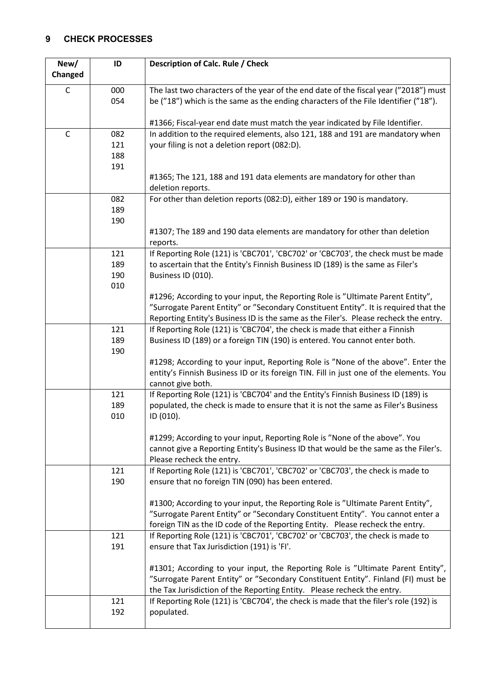## <span id="page-3-0"></span>**9 CHECK PROCESSES**

| New/         | ID         | Description of Calc. Rule / Check                                                                                                                                    |
|--------------|------------|----------------------------------------------------------------------------------------------------------------------------------------------------------------------|
| Changed      |            |                                                                                                                                                                      |
| C            | 000        | The last two characters of the year of the end date of the fiscal year ("2018") must                                                                                 |
|              | 054        | be ("18") which is the same as the ending characters of the File Identifier ("18").                                                                                  |
|              |            |                                                                                                                                                                      |
|              |            | #1366; Fiscal-year end date must match the year indicated by File Identifier.                                                                                        |
| $\mathsf{C}$ | 082        | In addition to the required elements, also 121, 188 and 191 are mandatory when                                                                                       |
|              | 121        | your filing is not a deletion report (082:D).                                                                                                                        |
|              | 188        |                                                                                                                                                                      |
|              | 191        |                                                                                                                                                                      |
|              |            | #1365; The 121, 188 and 191 data elements are mandatory for other than                                                                                               |
|              | 082        | deletion reports.<br>For other than deletion reports (082:D), either 189 or 190 is mandatory.                                                                        |
|              | 189        |                                                                                                                                                                      |
|              | 190        |                                                                                                                                                                      |
|              |            | #1307; The 189 and 190 data elements are mandatory for other than deletion                                                                                           |
|              |            | reports.                                                                                                                                                             |
|              | 121        | If Reporting Role (121) is 'CBC701', 'CBC702' or 'CBC703', the check must be made                                                                                    |
|              | 189        | to ascertain that the Entity's Finnish Business ID (189) is the same as Filer's                                                                                      |
|              | 190        | Business ID (010).                                                                                                                                                   |
|              | 010        |                                                                                                                                                                      |
|              |            | #1296; According to your input, the Reporting Role is "Ultimate Parent Entity",                                                                                      |
|              |            | "Surrogate Parent Entity" or "Secondary Constituent Entity". It is required that the                                                                                 |
|              | 121        | Reporting Entity's Business ID is the same as the Filer's. Please recheck the entry.<br>If Reporting Role (121) is 'CBC704', the check is made that either a Finnish |
|              | 189        | Business ID (189) or a foreign TIN (190) is entered. You cannot enter both.                                                                                          |
|              | 190        |                                                                                                                                                                      |
|              |            | #1298; According to your input, Reporting Role is "None of the above". Enter the                                                                                     |
|              |            | entity's Finnish Business ID or its foreign TIN. Fill in just one of the elements. You                                                                               |
|              |            | cannot give both.                                                                                                                                                    |
|              | 121        | If Reporting Role (121) is 'CBC704' and the Entity's Finnish Business ID (189) is                                                                                    |
|              | 189        | populated, the check is made to ensure that it is not the same as Filer's Business                                                                                   |
|              | 010        | ID (010).                                                                                                                                                            |
|              |            | #1299; According to your input, Reporting Role is "None of the above". You                                                                                           |
|              |            | cannot give a Reporting Entity's Business ID that would be the same as the Filer's.                                                                                  |
|              |            | Please recheck the entry.                                                                                                                                            |
|              | 121        | If Reporting Role (121) is 'CBC701', 'CBC702' or 'CBC703', the check is made to                                                                                      |
|              | 190        | ensure that no foreign TIN (090) has been entered.                                                                                                                   |
|              |            |                                                                                                                                                                      |
|              |            | #1300; According to your input, the Reporting Role is "Ultimate Parent Entity",                                                                                      |
|              |            | "Surrogate Parent Entity" or "Secondary Constituent Entity". You cannot enter a                                                                                      |
|              |            | foreign TIN as the ID code of the Reporting Entity. Please recheck the entry.                                                                                        |
|              | 121<br>191 | If Reporting Role (121) is 'CBC701', 'CBC702' or 'CBC703', the check is made to<br>ensure that Tax Jurisdiction (191) is 'FI'.                                       |
|              |            |                                                                                                                                                                      |
|              |            | #1301; According to your input, the Reporting Role is "Ultimate Parent Entity",                                                                                      |
|              |            | "Surrogate Parent Entity" or "Secondary Constituent Entity". Finland (FI) must be                                                                                    |
|              |            | the Tax Jurisdiction of the Reporting Entity. Please recheck the entry.                                                                                              |
|              | 121        | If Reporting Role (121) is 'CBC704', the check is made that the filer's role (192) is                                                                                |
|              | 192        | populated.                                                                                                                                                           |
|              |            |                                                                                                                                                                      |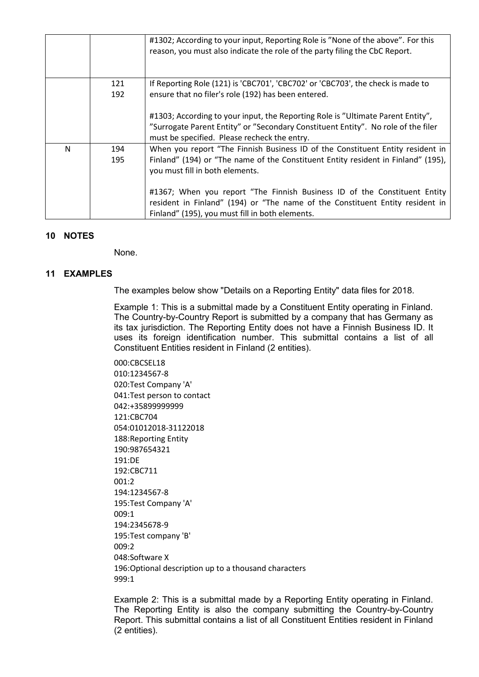|   |     | #1302; According to your input, Reporting Role is "None of the above". For this<br>reason, you must also indicate the role of the party filing the CbC Report. |
|---|-----|----------------------------------------------------------------------------------------------------------------------------------------------------------------|
|   | 121 | If Reporting Role (121) is 'CBC701', 'CBC702' or 'CBC703', the check is made to                                                                                |
|   | 192 | ensure that no filer's role (192) has been entered.                                                                                                            |
|   |     | #1303; According to your input, the Reporting Role is "Ultimate Parent Entity",                                                                                |
|   |     | "Surrogate Parent Entity" or "Secondary Constituent Entity". No role of the filer                                                                              |
|   |     | must be specified. Please recheck the entry.                                                                                                                   |
| N | 194 | When you report "The Finnish Business ID of the Constituent Entity resident in                                                                                 |
|   | 195 | Finland" (194) or "The name of the Constituent Entity resident in Finland" (195),                                                                              |
|   |     | you must fill in both elements.                                                                                                                                |
|   |     | #1367; When you report "The Finnish Business ID of the Constituent Entity                                                                                      |
|   |     | resident in Finland" (194) or "The name of the Constituent Entity resident in                                                                                  |
|   |     | Finland" (195), you must fill in both elements.                                                                                                                |

#### <span id="page-4-0"></span>**10 NOTES**

None.

#### <span id="page-4-1"></span>**11 EXAMPLES**

The examples below show "Details on a Reporting Entity" data files for 2018.

Example 1: This is a submittal made by a Constituent Entity operating in Finland. The Country-by-Country Report is submitted by a company that has Germany as its tax jurisdiction. The Reporting Entity does not have a Finnish Business ID. It uses its foreign identification number. This submittal contains a list of all Constituent Entities resident in Finland (2 entities).

000:CBCSEL18 010:1234567-8 020:Test Company 'A' 041:Test person to contact 042:+35899999999 121:CBC704 054:01012018-31122018 188:Reporting Entity 190:987654321 191:DE 192:CBC711  $001:2$ 194:1234567-8 195:Test Company 'A' 009:1 194:2345678-9 195:Test company 'B' 009:2 048:Software X 196:Optional description up to a thousand characters 999:1

Example 2: This is a submittal made by a Reporting Entity operating in Finland. The Reporting Entity is also the company submitting the Country-by-Country Report. This submittal contains a list of all Constituent Entities resident in Finland (2 entities).